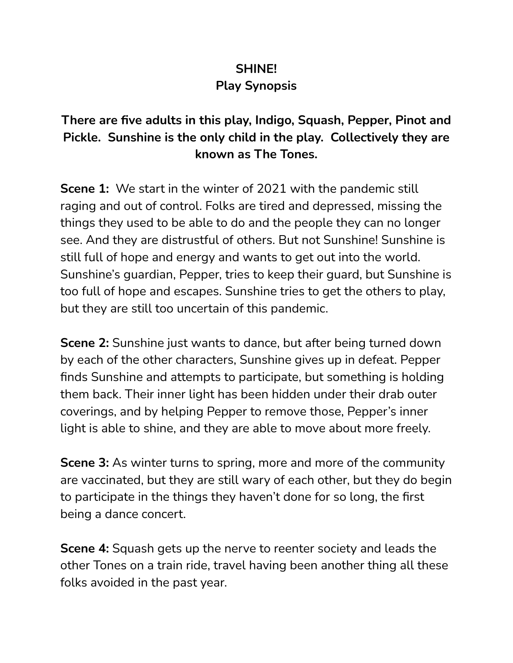## **SHINE!**

## **Play Synopsis**

## **There are five adults in this play, Indigo, Squash, Pepper, Pinot and Pickle. Sunshine is the only child in the play. Collectively they are known as The Tones.**

**Scene 1:** We start in the winter of 2021 with the pandemic still raging and out of control. Folks are tired and depressed, missing the things they used to be able to do and the people they can no longer see. And they are distrustful of others. But not Sunshine! Sunshine is still full of hope and energy and wants to get out into the world. Sunshine's guardian, Pepper, tries to keep their guard, but Sunshine is too full of hope and escapes. Sunshine tries to get the others to play, but they are still too uncertain of this pandemic.

**Scene 2:** Sunshine just wants to dance, but after being turned down by each of the other characters, Sunshine gives up in defeat. Pepper finds Sunshine and attempts to participate, but something is holding them back. Their inner light has been hidden under their drab outer coverings, and by helping Pepper to remove those, Pepper's inner light is able to shine, and they are able to move about more freely.

**Scene 3:** As winter turns to spring, more and more of the community are vaccinated, but they are still wary of each other, but they do begin to participate in the things they haven't done for so long, the first being a dance concert.

**Scene 4:** Squash gets up the nerve to reenter society and leads the other Tones on a train ride, travel having been another thing all these folks avoided in the past year.